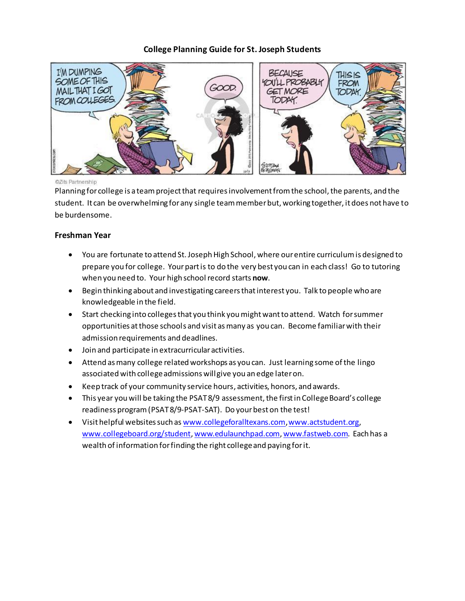# **College Planning Guide for St. Joseph Students**



#### ©Zits Partnership

Planning for college is a team project that requires involvement from the school, the parents, and the student. It can be overwhelming for any single team member but, working together, it does not have to be burdensome.

#### **Freshman Year**

- You are fortunate to attend St. Joseph High School, where our entire curriculum is designed to prepare you for college. Your part is to do the very best you can in each class! Go to tutoring when you need to. Your high school record starts **now**.
- Begin thinking about and investigating careers that interest you. Talk to people who are knowledgeable in the field.
- Start checking into colleges that you think you might want to attend. Watch for summer opportunities at those schools and visit as many as you can. Become familiar with their admission requirements and deadlines.
- Join and participate in extracurricular activities.
- Attend as many college related workshops as you can. Just learning some of the lingo associated with college admissions will give you an edge later on.
- Keep track of your community service hours, activities, honors, and awards.
- This year you will be taking the PSAT 8/9 assessment, the first in College Board's college readiness program (PSAT 8/9-PSAT-SAT). Do your best on the test!
- Visit helpful websites such a[s www.collegeforalltexans.com](http://www.collegeforalltexans.com/)[, www.actstudent.org](http://www.actstudent.org/), [www.collegeboard.org/student](http://www.collegeboard.org/student)[, www.edulaunchpad.com](http://www.edulaunchpad.com/)[, www.fastweb.com](http://www.fastweb.com/). Each has a wealth of information for finding the right college and paying for it.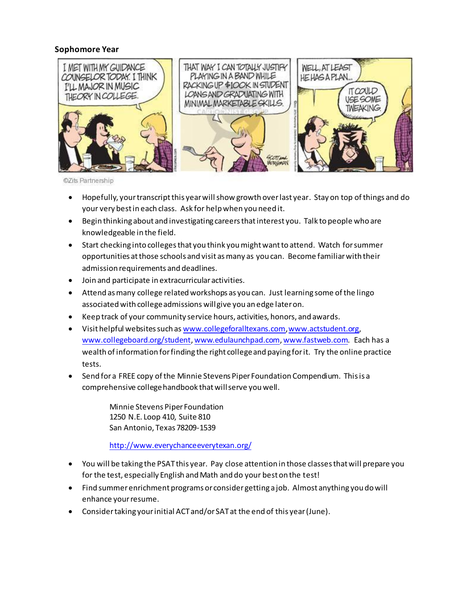## **Sophomore Year**



©Zits Partnership

- Hopefully, your transcript this year will show growth over last year. Stay on top of things and do your very best in each class. Ask for help when you need it.
- Begin thinking about and investigating careers that interest you. Talk to people who are knowledgeable in the field.
- Start checking into colleges that you think you might want to attend. Watch for summer opportunities at those schools and visit as many as you can. Become familiar with their admission requirements and deadlines.
- Join and participate in extracurricular activities.
- Attend as many college related workshops as you can. Just learning some of the lingo associated with college admissions will give you an edge later on.
- Keep track of your community service hours, activities, honors, and awards.
- Visit helpful websites such a[s www.collegeforalltexans.com](http://www.collegeforalltexans.com/)[, www.actstudent.org](http://www.actstudent.org/), [www.collegeboard.org/student](http://www.collegeboard.org/student)[, www.edulaunchpad.com](http://www.edulaunchpad.com/)[, www.fastweb.com](http://www.fastweb.com/). Each has a wealth of information for finding the right college and paying for it. Try the online practice tests.
- Send for a FREE copy of the Minnie Stevens Piper Foundation Compendium. This is a comprehensive college handbook that will serve you well.

Minnie Stevens Piper Foundation 1250 N.E. Loop 410, Suite 810 San Antonio, Texas 78209-1539

<http://www.everychanceeverytexan.org/>

- You will be taking the PSAT this year. Pay close attention in those classes that will prepare you for the test, especially English and Math and do your best on the test!
- Find summer enrichment programs or consider getting a job. Almost anything you do will enhance your resume.
- Consider taking your initial ACT and/or SAT at the end of this year (June).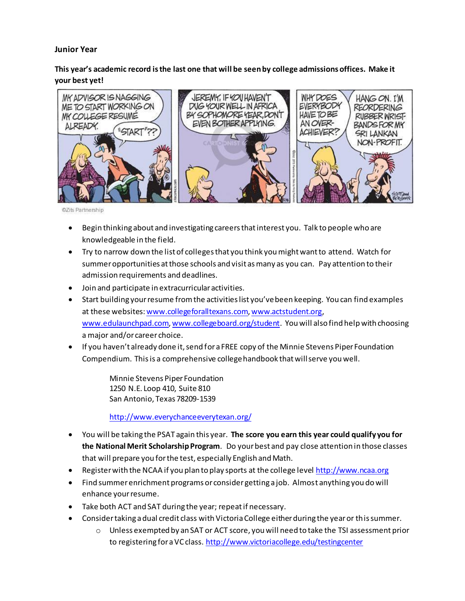### **Junior Year**

# **This year's academic record is the last one that will be seen by college admissions offices. Make it your best yet!**



©Zits Partnership

- Begin thinking about and investigating careers that interest you. Talk to people who are knowledgeable in the field.
- Try to narrow down the list of colleges that you think you might want to attend. Watch for summer opportunities at those schools and visit as many as you can. Pay attention to their admission requirements and deadlines.
- Join and participate in extracurricular activities.
- Start building your resume from the activities list you've been keeping. You can find examples at these websites[: www.collegeforalltexans.com](http://www.collegeforalltexans.com/)[, www.actstudent.org](http://www.actstudent.org/), [www.edulaunchpad.com](http://www.edulaunchpad.com/)[, www.collegeboard.org/student](http://www.collegeboard.org/student). You will also find help with choosing a major and/or career choice.
- If you haven't already done it, send for a FREE copy of the Minnie Stevens Piper Foundation Compendium. This is a comprehensive college handbook that will serve you well.

Minnie Stevens Piper Foundation 1250 N.E. Loop 410, Suite 810 San Antonio, Texas 78209-1539

<http://www.everychanceeverytexan.org/>

- You will be taking the PSAT again this year. **The score you earn this year could qualify you for the National Merit Scholarship Program**. Do your best and pay close attention in those classes that will prepare you for the test, especially English and Math.
- Register with the NCAA if you plan to play sports at the college leve[l http://www.ncaa.org](http://www.ncaa.org/)
- Find summer enrichment programs or consider getting a job. Almost anything you do will enhance your resume.
- Take both ACT and SAT during the year; repeat if necessary.
- Consider taking a dual credit class with Victoria College either during the year or thissummer.
	- o Unless exempted by an SAT or ACT score, you will need to take the TSI assessment prior to registering for a VC class. <http://www.victoriacollege.edu/testingcenter>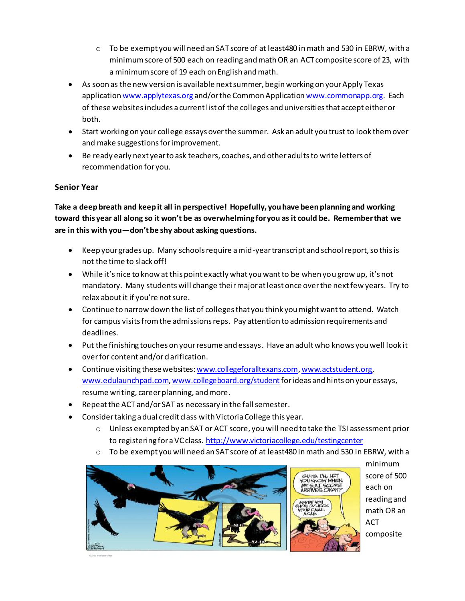- $\circ$  To be exempt you will need an SAT score of at least 480 in math and 530 in EBRW, with a minimum score of 500 each on reading and math OR an ACT composite score of 23, with a minimum score of 19 each on English and math.
- As soon as the new version is available nextsummer, begin working on your Apply Texas applicatio[n www.applytexas.org](http://www.applytexas.org/) and/or the Common Applicatio[n www.commonapp.org](http://www.commonapp.org/). Each of these websites includes a current list of the colleges and universities that accept either or both.
- Start working on your college essays over the summer. Ask an adult you trust to look them over and make suggestions for improvement.
- Be ready early next year to ask teachers, coaches, and other adults to write letters of recommendation for you.

# **Senior Year**

**Take a deep breath and keep it all in perspective! Hopefully, you have been planning and working toward this year all along so it won't be as overwhelming for you as it could be. Remember that we are in this with you—don't be shy about asking questions.**

- Keep your grades up. Many schools require a mid-year transcript and school report, so this is not the time to slack off!
- While it's nice to know at this point exactly what you want to be when you grow up, it's not mandatory. Many students will change their major at least once over the next few years. Try to relax about it if you're not sure.
- Continue to narrow down the list of colleges that you think you might want to attend. Watch for campus visits from the admissions reps. Pay attention to admission requirements and deadlines.
- Put the finishing touches on your resume and essays. Have an adult who knows you well look it over for content and/or clarification.
- **•** Continue visiting these websites: www.collegeforalltexans.com[, www.actstudent.org](http://www.actstudent.org/), [www.edulaunchpad.com](http://www.edulaunchpad.com/)[, www.collegeboard.org/student](http://www.collegeboard.org/student) for ideas and hints on your essays, resume writing, career planning, and more.
- Repeat the ACT and/or SAT as necessary in the fall semester.
- Consider taking a dual credit class with Victoria College this year.
	- o Unless exempted by an SAT or ACT score, you will need to take the TSI assessment prior to registering for a VC class[. http://www.victoriacollege.edu/testingcenter](http://www.victoriacollege.edu/testingcenter)
	- $\circ$  To be exempt you will need an SAT score of at least 480 in math and 530 in EBRW, with a



minimum score of 500 GIRSS T'LL LET OU KNOW WHEN each on reading and math OR an ACT composite